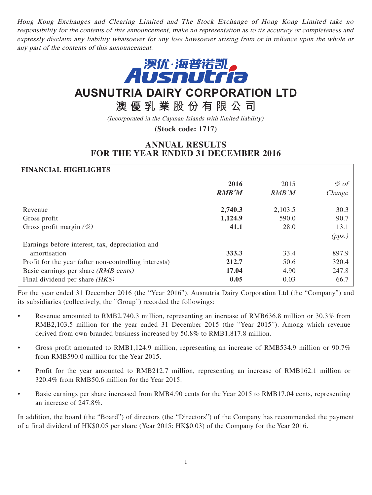Hong Kong Exchanges and Clearing Limited and The Stock Exchange of Hong Kong Limited take no responsibility for the contents of this announcement, make no representation as to its accuracy or completeness and expressly disclaim any liability whatsoever for any loss howsoever arising from or in reliance upon the whole or any part of the contents of this announcement.



# **AUSNUTRIA DAIRY CORPORATION LTD**

**澳優乳業股份有限公司**

(Incorporated in the Cayman Islands with limited liability)

**(Stock code: 1717)**

## **ANNUAL RESULTS FOR THE YEAR ENDED 31 DECEMBER 2016**

### **FINANCIAL HIGHLIGHTS**

|                                                       | 2016<br><b>RMB'M</b> | 2015<br>RMB'M | $%$ of<br>Change |
|-------------------------------------------------------|----------------------|---------------|------------------|
| Revenue                                               | 2,740.3              | 2,103.5       | 30.3             |
| Gross profit                                          | 1,124.9              | 590.0         | 90.7             |
| Gross profit margin $(\%)$                            | 41.1                 | 28.0          | 13.1             |
|                                                       |                      |               | (pps.)           |
| Earnings before interest, tax, depreciation and       |                      |               |                  |
| amortisation                                          | 333.3                | 33.4          | 897.9            |
| Profit for the year (after non-controlling interests) | 212.7                | 50.6          | 320.4            |
| Basic earnings per share (RMB cents)                  | 17.04                | 4.90          | 247.8            |
| Final dividend per share $(HK\$ )                     | 0.05                 | 0.03          | 66.7             |

For the year ended 31 December 2016 (the "Year 2016"), Ausnutria Dairy Corporation Ltd (the "Company") and its subsidiaries (collectively, the "Group") recorded the followings:

- Revenue amounted to RMB2,740.3 million, representing an increase of RMB636.8 million or 30.3% from RMB2,103.5 million for the year ended 31 December 2015 (the "Year 2015"). Among which revenue derived from own-branded business increased by 50.8% to RMB1,817.8 million.
- Gross profit amounted to RMB1,124.9 million, representing an increase of RMB534.9 million or 90.7% from RMB590.0 million for the Year 2015.
- Profit for the year amounted to RMB212.7 million, representing an increase of RMB162.1 million or 320.4% from RMB50.6 million for the Year 2015.
- Basic earnings per share increased from RMB4.90 cents for the Year 2015 to RMB17.04 cents, representing an increase of 247.8%.

In addition, the board (the "Board") of directors (the "Directors") of the Company has recommended the payment of a final dividend of HK\$0.05 per share (Year 2015: HK\$0.03) of the Company for the Year 2016.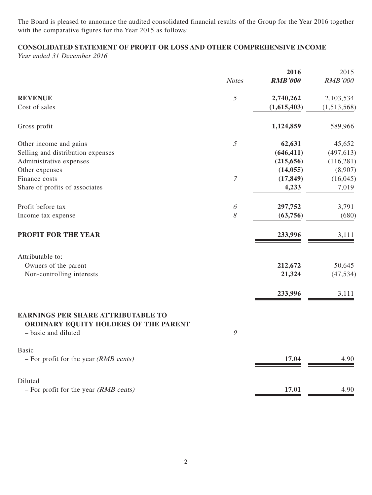The Board is pleased to announce the audited consolidated financial results of the Group for the Year 2016 together with the comparative figures for the Year 2015 as follows:

## **CONSOLIDATED STATEMENT OF PROFIT OR LOSS AND OTHER COMPREHENSIVE INCOME**

Year ended 31 December 2016

|                                                                                                           | <b>Notes</b>     | 2016<br><b>RMB'000</b> | 2015<br><b>RMB'000</b> |
|-----------------------------------------------------------------------------------------------------------|------------------|------------------------|------------------------|
|                                                                                                           |                  |                        |                        |
| <b>REVENUE</b>                                                                                            | $\mathfrak s$    | 2,740,262              | 2,103,534              |
| Cost of sales                                                                                             |                  | (1,615,403)            | (1,513,568)            |
| Gross profit                                                                                              |                  | 1,124,859              | 589,966                |
| Other income and gains                                                                                    | 5                | 62,631                 | 45,652                 |
| Selling and distribution expenses                                                                         |                  | (646, 411)             | (497, 613)             |
| Administrative expenses                                                                                   |                  | (215, 656)             | (116, 281)             |
| Other expenses                                                                                            |                  | (14, 055)              | (8,907)                |
| Finance costs                                                                                             | $\boldsymbol{7}$ | (17, 849)              | (16, 045)              |
| Share of profits of associates                                                                            |                  | 4,233                  | 7,019                  |
| Profit before tax                                                                                         | 6                | 297,752                | 3,791                  |
| Income tax expense                                                                                        | 8                | (63, 756)              | (680)                  |
| PROFIT FOR THE YEAR                                                                                       |                  | 233,996                | 3,111                  |
| Attributable to:                                                                                          |                  |                        |                        |
| Owners of the parent                                                                                      |                  | 212,672                | 50,645                 |
| Non-controlling interests                                                                                 |                  | 21,324                 | (47, 534)              |
|                                                                                                           |                  | 233,996                | 3,111                  |
|                                                                                                           |                  |                        |                        |
| <b>EARNINGS PER SHARE ATTRIBUTABLE TO</b><br>ORDINARY EQUITY HOLDERS OF THE PARENT<br>- basic and diluted | 9                |                        |                        |
| Basic                                                                                                     |                  |                        |                        |
| $-$ For profit for the year ( <i>RMB cents</i> )                                                          |                  | 17.04                  | 4.90                   |
| Diluted                                                                                                   |                  |                        |                        |
| $-$ For profit for the year (RMB cents)                                                                   |                  | 17.01                  | 4.90                   |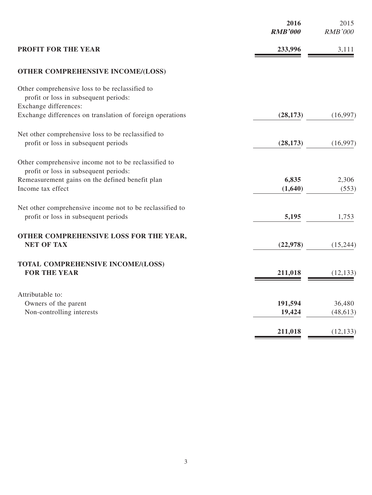|                                                                                                  | 2016<br><b>RMB'000</b> | 2015<br><b>RMB'000</b> |
|--------------------------------------------------------------------------------------------------|------------------------|------------------------|
| <b>PROFIT FOR THE YEAR</b>                                                                       | 233,996                | 3,111                  |
| <b>OTHER COMPREHENSIVE INCOME/(LOSS)</b>                                                         |                        |                        |
| Other comprehensive loss to be reclassified to<br>profit or loss in subsequent periods:          |                        |                        |
| Exchange differences:<br>Exchange differences on translation of foreign operations               | (28, 173)              | (16,997)               |
| Net other comprehensive loss to be reclassified to<br>profit or loss in subsequent periods       | (28, 173)              | (16,997)               |
| Other comprehensive income not to be reclassified to<br>profit or loss in subsequent periods:    |                        |                        |
| Remeasurement gains on the defined benefit plan<br>Income tax effect                             | 6,835<br>(1,640)       | 2,306<br>(553)         |
| Net other comprehensive income not to be reclassified to<br>profit or loss in subsequent periods | 5,195                  | 1,753                  |
| OTHER COMPREHENSIVE LOSS FOR THE YEAR,<br><b>NET OF TAX</b>                                      | (22, 978)              | (15,244)               |
| TOTAL COMPREHENSIVE INCOME/(LOSS)<br><b>FOR THE YEAR</b>                                         | 211,018                | (12, 133)              |
| Attributable to:<br>Owners of the parent<br>Non-controlling interests                            | 191,594<br>19,424      | 36,480<br>(48, 613)    |
|                                                                                                  | 211,018                | (12, 133)              |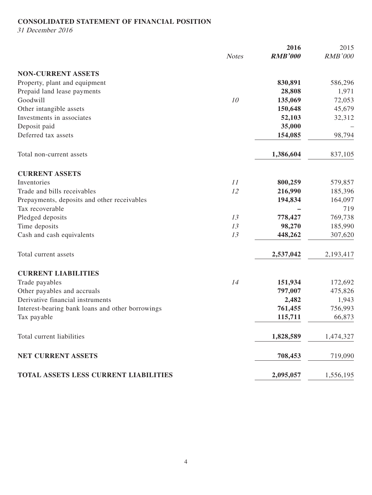## **CONSOLIDATED STATEMENT OF FINANCIAL POSITION**

31 December 2016

|                                                  |              | 2016           | 2015           |
|--------------------------------------------------|--------------|----------------|----------------|
|                                                  | <b>Notes</b> | <b>RMB'000</b> | <b>RMB'000</b> |
| <b>NON-CURRENT ASSETS</b>                        |              |                |                |
| Property, plant and equipment                    |              | 830,891        | 586,296        |
| Prepaid land lease payments                      |              | 28,808         | 1,971          |
| Goodwill                                         | 10           | 135,069        | 72,053         |
| Other intangible assets                          |              | 150,648        | 45,679         |
| Investments in associates                        |              | 52,103         | 32,312         |
| Deposit paid                                     |              | 35,000         |                |
| Deferred tax assets                              |              | 154,085        | 98,794         |
| Total non-current assets                         |              | 1,386,604      | 837,105        |
| <b>CURRENT ASSETS</b>                            |              |                |                |
| Inventories                                      | 11           | 800,259        | 579,857        |
| Trade and bills receivables                      | 12           | 216,990        | 185,396        |
| Prepayments, deposits and other receivables      |              | 194,834        | 164,097        |
| Tax recoverable                                  |              |                | 719            |
| Pledged deposits                                 | 13           | 778,427        | 769,738        |
| Time deposits                                    | 13           | 98,270         | 185,990        |
| Cash and cash equivalents                        | 13           | 448,262        | 307,620        |
| Total current assets                             |              | 2,537,042      | 2,193,417      |
| <b>CURRENT LIABILITIES</b>                       |              |                |                |
| Trade payables                                   | 14           | 151,934        | 172,692        |
| Other payables and accruals                      |              | 797,007        | 475,826        |
| Derivative financial instruments                 |              | 2,482          | 1,943          |
| Interest-bearing bank loans and other borrowings |              | 761,455        | 756,993        |
| Tax payable                                      |              | 115,711        | 66,873         |
| Total current liabilities                        |              | 1,828,589      | 1,474,327      |
| <b>NET CURRENT ASSETS</b>                        |              | 708,453        | 719,090        |
| TOTAL ASSETS LESS CURRENT LIABILITIES            |              | 2,095,057      | 1,556,195      |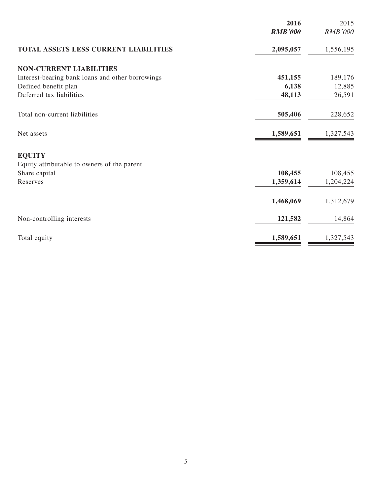|                                                  | 2016<br><b>RMB'000</b> | 2015<br><b>RMB'000</b> |
|--------------------------------------------------|------------------------|------------------------|
|                                                  |                        |                        |
| TOTAL ASSETS LESS CURRENT LIABILITIES            | 2,095,057              | 1,556,195              |
| <b>NON-CURRENT LIABILITIES</b>                   |                        |                        |
| Interest-bearing bank loans and other borrowings | 451,155                | 189,176                |
| Defined benefit plan                             | 6,138                  | 12,885                 |
| Deferred tax liabilities                         | 48,113                 | 26,591                 |
| Total non-current liabilities                    | 505,406                | 228,652                |
| Net assets                                       | 1,589,651              | 1,327,543              |
| <b>EQUITY</b>                                    |                        |                        |
| Equity attributable to owners of the parent      |                        |                        |
| Share capital                                    | 108,455                | 108,455                |
| Reserves                                         | 1,359,614              | 1,204,224              |
|                                                  | 1,468,069              | 1,312,679              |
| Non-controlling interests                        | 121,582                | 14,864                 |
| Total equity                                     | 1,589,651              | 1,327,543              |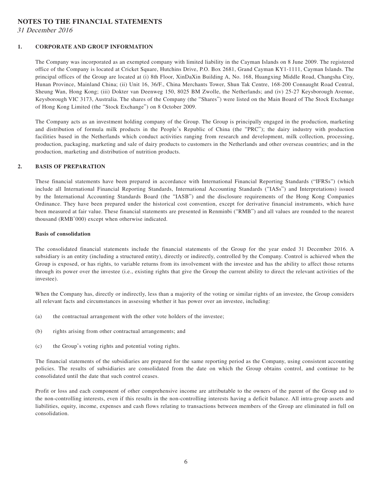#### **NOTES TO THE FINANCIAL STATEMENTS**

31 December 2016

#### **1. CORPORATE AND GROUP INFORMATION**

The Company was incorporated as an exempted company with limited liability in the Cayman Islands on 8 June 2009. The registered office of the Company is located at Cricket Square, Hutchins Drive, P.O. Box 2681, Grand Cayman KY1-1111, Cayman Islands. The principal offices of the Group are located at (i) 8th Floor, XinDaXin Building A, No. 168, Huangxing Middle Road, Changsha City, Hunan Province, Mainland China; (ii) Unit 16, 36/F., China Merchants Tower, Shun Tak Centre, 168-200 Connaught Road Central, Sheung Wan, Hong Kong; (iii) Dokter van Deenweg 150, 8025 BM Zwolle, the Netherlands; and (iv) 25-27 Keysborough Avenue, Keysborough VIC 3173, Australia. The shares of the Company (the "Shares") were listed on the Main Board of The Stock Exchange of Hong Kong Limited (the "Stock Exchange") on 8 October 2009.

The Company acts as an investment holding company of the Group. The Group is principally engaged in the production, marketing and distribution of formula milk products in the People's Republic of China (the "PRC"); the dairy industry with production facilities based in the Netherlands which conduct activities ranging from research and development, milk collection, processing, production, packaging, marketing and sale of dairy products to customers in the Netherlands and other overseas countries; and in the production, marketing and distribution of nutrition products.

#### **2. BASIS OF PREPARATION**

These financial statements have been prepared in accordance with International Financial Reporting Standards ("IFRSs") (which include all International Financial Reporting Standards, International Accounting Standards ("IASs") and Interpretations) issued by the International Accounting Standards Board (the "IASB") and the disclosure requirements of the Hong Kong Companies Ordinance. They have been prepared under the historical cost convention, except for derivative financial instruments, which have been measured at fair value. These financial statements are presented in Renminbi ("RMB") and all values are rounded to the nearest thousand (RMB'000) except when otherwise indicated.

#### **Basis of consolidation**

The consolidated financial statements include the financial statements of the Group for the year ended 31 December 2016. A subsidiary is an entity (including a structured entity), directly or indirectly, controlled by the Company. Control is achieved when the Group is exposed, or has rights, to variable returns from its involvement with the investee and has the ability to affect those returns through its power over the investee (i.e., existing rights that give the Group the current ability to direct the relevant activities of the investee).

When the Company has, directly or indirectly, less than a majority of the voting or similar rights of an investee, the Group considers all relevant facts and circumstances in assessing whether it has power over an investee, including:

- (a) the contractual arrangement with the other vote holders of the investee;
- (b) rights arising from other contractual arrangements; and
- (c) the Group's voting rights and potential voting rights.

The financial statements of the subsidiaries are prepared for the same reporting period as the Company, using consistent accounting policies. The results of subsidiaries are consolidated from the date on which the Group obtains control, and continue to be consolidated until the date that such control ceases.

Profit or loss and each component of other comprehensive income are attributable to the owners of the parent of the Group and to the non-controlling interests, even if this results in the non-controlling interests having a deficit balance. All intra-group assets and liabilities, equity, income, expenses and cash flows relating to transactions between members of the Group are eliminated in full on consolidation.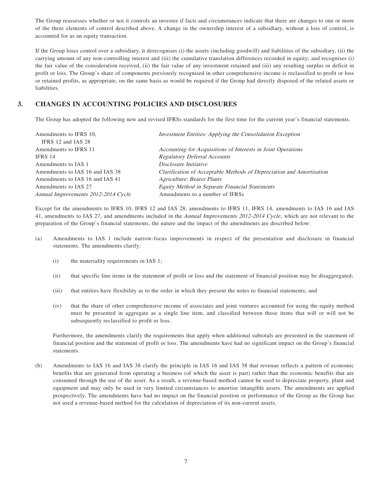The Group reassesses whether or not it controls an investee if facts and circumstances indicate that there are changes to one or more of the three elements of control described above. A change in the ownership interest of a subsidiary, without a loss of control, is accounted for as an equity transaction.

If the Group loses control over a subsidiary, it derecognises (i) the assets (including goodwill) and liabilities of the subsidiary, (ii) the carrying amount of any non-controlling interest and (iii) the cumulative translation differences recorded in equity; and recognises (i) the fair value of the consideration received, (ii) the fair value of any investment retained and (iii) any resulting surplus or deficit in profit or loss. The Group's share of components previously recognised in other comprehensive income is reclassified to profit or loss or retained profits, as appropriate, on the same basis as would be required if the Group had directly disposed of the related assets or liabilities.

## **3. CHANGES IN ACCOUNTING POLICIES AND DISCLOSURES**

The Group has adopted the following new and revised IFRSs standards for the first time for the current year's financial statements.

| Amendments to IFRS 10,<br>IFRS 12 and IAS 28 | Investment Entities: Applying the Consolidation Exception            |
|----------------------------------------------|----------------------------------------------------------------------|
| Amendments to IFRS 11                        | Accounting for Acquisitions of Interests in Joint Operations         |
| IFRS 14                                      | <b>Regulatory Deferral Accounts</b>                                  |
| Amendments to IAS 1                          | Disclosure Initiative                                                |
| Amendments to IAS 16 and IAS 38              | Clarification of Acceptable Methods of Depreciation and Amortisation |
| Amendments to IAS 16 and IAS 41              | <b>Agriculture: Bearer Plants</b>                                    |
| Amendments to IAS 27                         | Equity Method in Separate Financial Statements                       |
| Annual Improvements 2012-2014 Cycle          | Amendments to a number of IFRSs                                      |

Except for the amendments to IFRS 10, IFRS 12 and IAS 28, amendments to IFRS 11, IFRS 14, amendments to IAS 16 and IAS 41, amendments to IAS 27, and amendments included in the Annual Improvements 2012-2014 Cycle, which are not relevant to the preparation of the Group's financial statements, the nature and the impact of the amendments are described below:

- (a) Amendments to IAS 1 include narrow-focus improvements in respect of the presentation and disclosure in financial statements. The amendments clarify:
	- (i) the materiality requirements in IAS 1;
	- (ii) that specific line items in the statement of profit or loss and the statement of financial position may be disaggregated;
	- (iii) that entities have flexibility as to the order in which they present the notes to financial statements; and
	- (iv) that the share of other comprehensive income of associates and joint ventures accounted for using the equity method must be presented in aggregate as a single line item, and classified between those items that will or will not be subsequently reclassified to profit or loss.

Furthermore, the amendments clarify the requirements that apply when additional subtotals are presented in the statement of financial position and the statement of profit or loss. The amendments have had no significant impact on the Group's financial statements.

(b) Amendments to IAS 16 and IAS 38 clarify the principle in IAS 16 and IAS 38 that revenue reflects a pattern of economic benefits that are generated from operating a business (of which the asset is part) rather than the economic benefits that are consumed through the use of the asset. As a result, a revenue-based method cannot be used to depreciate property, plant and equipment and may only be used in very limited circumstances to amortise intangible assets. The amendments are applied prospectively. The amendments have had no impact on the financial position or performance of the Group as the Group has not used a revenue-based method for the calculation of depreciation of its non-current assets.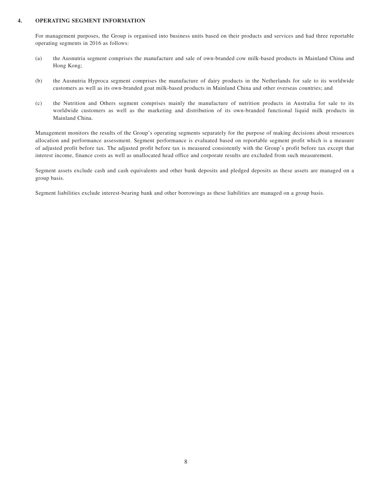#### **4. OPERATING SEGMENT INFORMATION**

For management purposes, the Group is organised into business units based on their products and services and had three reportable operating segments in 2016 as follows:

- (a) the Ausnutria segment comprises the manufacture and sale of own-branded cow milk-based products in Mainland China and Hong Kong;
- (b) the Ausnutria Hyproca segment comprises the manufacture of dairy products in the Netherlands for sale to its worldwide customers as well as its own-branded goat milk-based products in Mainland China and other overseas countries; and
- (c) the Nutrition and Others segment comprises mainly the manufacture of nutrition products in Australia for sale to its worldwide customers as well as the marketing and distribution of its own-branded functional liquid milk products in Mainland China.

Management monitors the results of the Group's operating segments separately for the purpose of making decisions about resources allocation and performance assessment. Segment performance is evaluated based on reportable segment profit which is a measure of adjusted profit before tax. The adjusted profit before tax is measured consistently with the Group's profit before tax except that interest income, finance costs as well as unallocated head office and corporate results are excluded from such measurement.

Segment assets exclude cash and cash equivalents and other bank deposits and pledged deposits as these assets are managed on a group basis.

Segment liabilities exclude interest-bearing bank and other borrowings as these liabilities are managed on a group basis.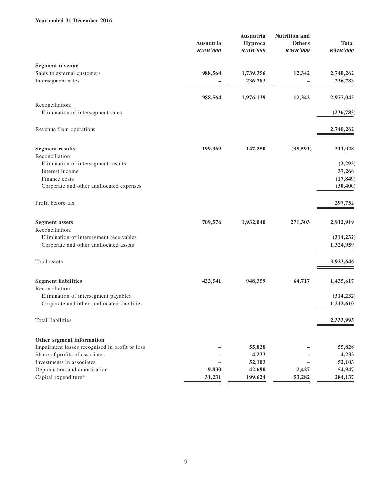#### **Year ended 31 December 2016**

|                                                | Ausnutria<br><b>RMB'000</b> |                | Ausnutria<br>Hyproca | <b>Nutrition</b> and<br><b>Others</b> | <b>Total</b> |
|------------------------------------------------|-----------------------------|----------------|----------------------|---------------------------------------|--------------|
|                                                |                             | <b>RMB'000</b> | <b>RMB'000</b>       | <b>RMB'000</b>                        |              |
| <b>Segment revenue</b>                         |                             |                |                      |                                       |              |
| Sales to external customers                    | 988,564                     | 1,739,356      | 12,342               | 2,740,262                             |              |
| Intersegment sales                             |                             | 236,783        |                      | 236,783                               |              |
|                                                | 988,564                     | 1,976,139      | 12,342               | 2,977,045                             |              |
| Reconciliation:                                |                             |                |                      |                                       |              |
| Elimination of intersegment sales              |                             |                |                      | (236,783)                             |              |
| Revenue from operations                        |                             |                |                      | 2,740,262                             |              |
| <b>Segment results</b>                         | 199,369                     | 147,250        | (35,591)             | 311,028                               |              |
| Reconciliation:                                |                             |                |                      |                                       |              |
| Elimination of intersegment results            |                             |                |                      | (2,293)                               |              |
| Interest income                                |                             |                |                      | 37,266                                |              |
| Finance costs                                  |                             |                |                      | (17, 849)                             |              |
| Corporate and other unallocated expenses       |                             |                |                      | (30, 400)                             |              |
| Profit before tax                              |                             |                |                      | 297,752                               |              |
| <b>Segment</b> assets                          | 709,576                     | 1,932,040      | 271,303              | 2,912,919                             |              |
| Reconciliation:                                |                             |                |                      |                                       |              |
| Elimination of intersegment receivables        |                             |                |                      | (314, 232)                            |              |
| Corporate and other unallocated assets         |                             |                |                      | 1,324,959                             |              |
| Total assets                                   |                             |                |                      | 3,923,646                             |              |
| <b>Segment liabilities</b>                     | 422,541                     | 948,359        | 64,717               | 1,435,617                             |              |
| Reconciliation:                                |                             |                |                      |                                       |              |
| Elimination of intersegment payables           |                             |                |                      | (314, 232)                            |              |
| Corporate and other unallocated liabilities    |                             |                |                      | 1,212,610                             |              |
| Total liabilities                              |                             |                |                      | 2,333,995                             |              |
| Other segment information                      |                             |                |                      |                                       |              |
| Impairment losses recognised in profit or loss |                             | 55,828         |                      | 55,828                                |              |
| Share of profits of associates                 |                             | 4,233          |                      | 4,233                                 |              |
| Investments in associates                      |                             | 52,103         |                      | 52,103                                |              |
| Depreciation and amortisation                  | 9,830                       | 42,690         | 2,427                | 54,947                                |              |
| Capital expenditure*                           | 31,231                      | 199,624        | 53,282               | 284,137                               |              |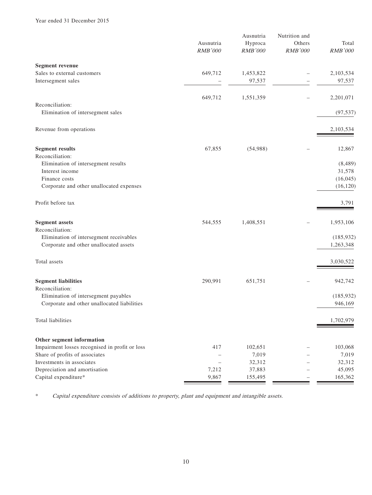|                                                            | Ausnutria<br><b>RMB'000</b>       | Ausnutria<br>Hyproca<br>RMB'000 | Nutrition and<br>Others<br><b>RMB'000</b> | Total<br>RMB'000  |
|------------------------------------------------------------|-----------------------------------|---------------------------------|-------------------------------------------|-------------------|
| <b>Segment revenue</b>                                     |                                   |                                 |                                           |                   |
| Sales to external customers                                | 649,712                           | 1,453,822                       |                                           | 2,103,534         |
| Intersegment sales                                         |                                   | 97,537                          |                                           | 97,537            |
|                                                            | 649,712                           | 1,551,359                       |                                           | 2,201,071         |
| Reconciliation:                                            |                                   |                                 |                                           |                   |
| Elimination of intersegment sales                          |                                   |                                 |                                           | (97, 537)         |
| Revenue from operations                                    |                                   |                                 |                                           | 2,103,534         |
| <b>Segment results</b>                                     | 67,855                            | (54,988)                        |                                           | 12,867            |
| Reconciliation:                                            |                                   |                                 |                                           |                   |
| Elimination of intersegment results<br>Interest income     |                                   |                                 |                                           | (8,489)<br>31,578 |
| Finance costs                                              |                                   |                                 |                                           | (16, 045)         |
| Corporate and other unallocated expenses                   |                                   |                                 |                                           | (16, 120)         |
| Profit before tax                                          |                                   |                                 |                                           | 3,791             |
| <b>Segment assets</b>                                      | 544,555                           | 1,408,551                       |                                           | 1,953,106         |
| Reconciliation:                                            |                                   |                                 |                                           |                   |
| Elimination of intersegment receivables                    |                                   |                                 |                                           | (185, 932)        |
| Corporate and other unallocated assets                     |                                   |                                 |                                           | 1,263,348         |
| Total assets                                               |                                   |                                 |                                           | 3,030,522         |
| <b>Segment liabilities</b>                                 | 290,991                           | 651,751                         |                                           | 942,742           |
| Reconciliation:<br>Elimination of intersegment payables    |                                   |                                 |                                           | (185, 932)        |
| Corporate and other unallocated liabilities                |                                   |                                 |                                           | 946,169           |
| Total liabilities                                          |                                   |                                 |                                           | 1,702,979         |
| Other segment information                                  |                                   |                                 |                                           |                   |
| Impairment losses recognised in profit or loss             | 417                               | 102,651                         |                                           | 103,068           |
| Share of profits of associates                             | $\overline{\phantom{0}}$          | 7,019                           |                                           | 7,019             |
| Investments in associates<br>Depreciation and amortisation | $\overline{\phantom{m}}$<br>7,212 | 32,312<br>37,883                |                                           | 32,312<br>45,095  |
| Capital expenditure*                                       | 9,867                             | 155,495                         |                                           | 165,362           |

\* Capital expenditure consists of additions to property, plant and equipment and intangible assets.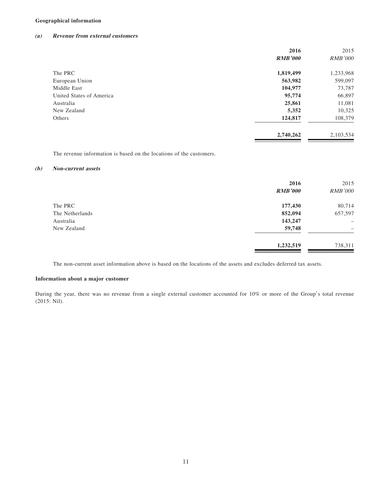#### **Geographical information**

#### **(a) Revenue from external customers**

|                          | 2016           | 2015           |
|--------------------------|----------------|----------------|
|                          | <b>RMB'000</b> | <b>RMB'000</b> |
| The PRC                  | 1,819,499      | 1,233,968      |
| European Union           | 563,982        | 599,097        |
| Middle East              | 104,977        | 73,787         |
| United States of America | 95,774         | 66,897         |
| Australia                | 25,861         | 11,081         |
| New Zealand              | 5,352          | 10,325         |
| Others                   | 124,817        | 108,379        |
|                          | 2,740,262      | 2,103,534      |
|                          |                |                |

The revenue information is based on the locations of the customers.

#### **(b) Non-current assets**

|                 | 2016<br><b>RMB'000</b> | 2015<br><b>RMB'000</b>   |
|-----------------|------------------------|--------------------------|
| The PRC         | 177,430                | 80,714                   |
| The Netherlands | 852,094                | 657,597                  |
| Australia       | 143,247                | $\overline{\phantom{0}}$ |
| New Zealand     | 59,748                 | -                        |
|                 | 1,232,519              | 738,311                  |

The non-current asset information above is based on the locations of the assets and excludes deferred tax assets.

#### **Information about a major customer**

During the year, there was no revenue from a single external customer accounted for 10% or more of the Group's total revenue (2015: Nil).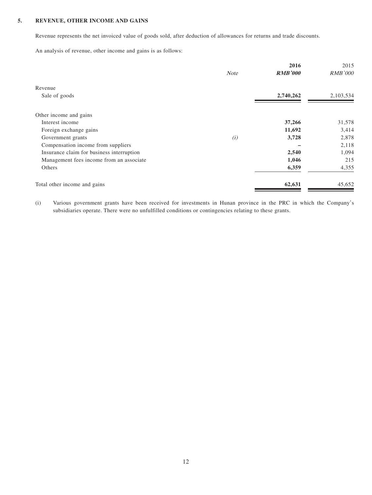#### **5. REVENUE, OTHER INCOME AND GAINS**

Revenue represents the net invoiced value of goods sold, after deduction of allowances for returns and trade discounts.

An analysis of revenue, other income and gains is as follows:

|                                           | <b>Note</b> | 2016<br><b>RMB'000</b> | 2015<br><b>RMB'000</b> |
|-------------------------------------------|-------------|------------------------|------------------------|
| Revenue                                   |             |                        |                        |
| Sale of goods                             |             | 2,740,262              | 2,103,534              |
| Other income and gains                    |             |                        |                        |
| Interest income                           |             | 37,266                 | 31,578                 |
| Foreign exchange gains                    |             | 11,692                 | 3,414                  |
| Government grants                         | (i)         | 3,728                  | 2,878                  |
| Compensation income from suppliers        |             |                        | 2,118                  |
| Insurance claim for business interruption |             | 2,540                  | 1,094                  |
| Management fees income from an associate  |             | 1,046                  | 215                    |
| Others                                    |             | 6,359                  | 4,355                  |
| Total other income and gains              |             | 62,631                 | 45,652                 |

(i) Various government grants have been received for investments in Hunan province in the PRC in which the Company's subsidiaries operate. There were no unfulfilled conditions or contingencies relating to these grants.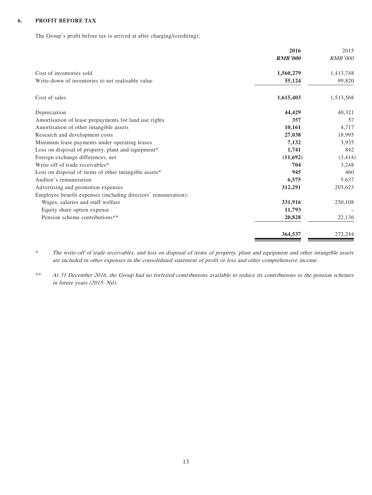#### **6. PROFIT BEFORE TAX**

The Group's profit before tax is arrived at after charging/(crediting):

|                                                                | 2016           | 2015           |
|----------------------------------------------------------------|----------------|----------------|
|                                                                | <b>RMB'000</b> | <b>RMB'000</b> |
| Cost of inventories sold                                       | 1,560,279      | 1,413,748      |
| Write-down of inventories to net realisable value              | 55,124         | 99,820         |
| Cost of sales                                                  | 1,615,403      | 1,513,568      |
| Depreciation                                                   | 44,429         | 40,321         |
| Amortisation of lease prepayments for land use rights          | 357            | 57             |
| Amortisation of other intangible assets                        | 10,161         | 4,717          |
| Research and development costs                                 | 27,038         | 18,995         |
| Minimum lease payments under operating leases                  | 7,132          | 3,935          |
| Loss on disposal of property, plant and equipment*             | 1,741          | 842            |
| Foreign exchange differences, net                              | (11,692)       | (3, 414)       |
| Write-off of trade receivables*                                | 704            | 3,248          |
| Loss on disposal of items of other intangible assets*          | 945            | 460            |
| Auditor's remuneration                                         | 6,575          | 5,637          |
| Advertising and promotion expenses                             | 312,291        | 203,623        |
| Employee benefit expenses (including directors' remuneration): |                |                |
| Wages, salaries and staff welfare                              | 331,916        | 250,108        |
| Equity share option expense                                    | 11,793         |                |
| Pension scheme contributions**                                 | 20,828         | 22,136         |
|                                                                | 364,537        | 272,244        |

\* The write-off of trade receivables, and loss on disposal of items of property, plant and equipment and other intangible assets are included in other expenses in the consolidated statement of profit or loss and other comprehensive income.

\*\* At 31 December 2016, the Group had no forfeited contributions available to reduce its contributions to the pension schemes in future years (2015: Nil).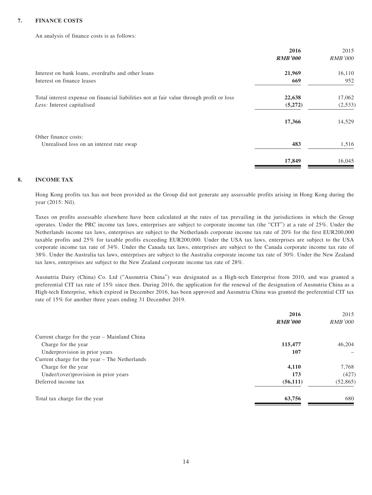#### **7. FINANCE COSTS**

An analysis of finance costs is as follows:

|                                                                                          | 2016           | 2015           |
|------------------------------------------------------------------------------------------|----------------|----------------|
|                                                                                          | <b>RMB'000</b> | <b>RMB'000</b> |
| Interest on bank loans, overdrafts and other loans                                       | 21,969         | 16,110         |
| Interest on finance leases                                                               | 669            | 952            |
| Total interest expense on financial liabilities not at fair value through profit or loss | 22,638         | 17,062         |
| Less: Interest capitalised                                                               | (5,272)        | (2,533)        |
|                                                                                          | 17,366         | 14,529         |
| Other finance costs:                                                                     |                |                |
| Unrealised loss on an interest rate swap                                                 | 483            | 1,516          |
|                                                                                          | 17,849         | 16,045         |

#### **8. INCOME TAX**

Hong Kong profits tax has not been provided as the Group did not generate any assessable profits arising in Hong Kong during the year (2015: Nil).

Taxes on profits assessable elsewhere have been calculated at the rates of tax prevailing in the jurisdictions in which the Group operates. Under the PRC income tax laws, enterprises are subject to corporate income tax (the "CIT") at a rate of 25%. Under the Netherlands income tax laws, enterprises are subject to the Netherlands corporate income tax rate of 20% for the first EUR200,000 taxable profits and 25% for taxable profits exceeding EUR200,000. Under the USA tax laws, enterprises are subject to the USA corporate income tax rate of 34%. Under the Canada tax laws, enterprises are subject to the Canada corporate income tax rate of 38%. Under the Australia tax laws, enterprises are subject to the Australia corporate income tax rate of 30%. Under the New Zealand tax laws, enterprises are subject to the New Zealand corporate income tax rate of 28%.

Ausnutria Dairy (China) Co. Ltd ("Ausnutria China") was designated as a High-tech Enterprise from 2010, and was granted a preferential CIT tax rate of 15% since then. During 2016, the application for the renewal of the designation of Ausnutria China as a High-tech Enterprise, which expired in December 2016, has been approved and Ausnutria China was granted the preferential CIT tax rate of 15% for another three years ending 31 December 2019.

| 2016           | 2015           |
|----------------|----------------|
| <b>RMB'000</b> | <i>RMB'000</i> |
|                |                |
| 115,477        | 46,204         |
| 107            |                |
|                |                |
| 4,110          | 7,768          |
| 173            | (427)          |
| (56, 111)      | (52,865)       |
| 63,756         | 680            |
|                |                |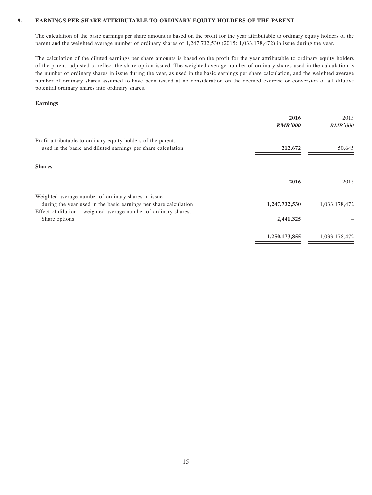#### **9. EARNINGS PER SHARE ATTRIBUTABLE TO ORDINARY EQUITY HOLDERS OF THE PARENT**

The calculation of the basic earnings per share amount is based on the profit for the year attributable to ordinary equity holders of the parent and the weighted average number of ordinary shares of 1,247,732,530 (2015: 1,033,178,472) in issue during the year.

The calculation of the diluted earnings per share amounts is based on the profit for the year attributable to ordinary equity holders of the parent, adjusted to reflect the share option issued. The weighted average number of ordinary shares used in the calculation is the number of ordinary shares in issue during the year, as used in the basic earnings per share calculation, and the weighted average number of ordinary shares assumed to have been issued at no consideration on the deemed exercise or conversion of all dilutive potential ordinary shares into ordinary shares.

#### **Earnings**

|                                                                                                                                                                                             | 2016<br><b>RMB'000</b> | 2015<br><b>RMB'000</b> |
|---------------------------------------------------------------------------------------------------------------------------------------------------------------------------------------------|------------------------|------------------------|
| Profit attributable to ordinary equity holders of the parent,<br>used in the basic and diluted earnings per share calculation                                                               | 212,672                | 50,645                 |
| <b>Shares</b>                                                                                                                                                                               |                        |                        |
|                                                                                                                                                                                             | 2016                   | 2015                   |
| Weighted average number of ordinary shares in issue<br>during the year used in the basic earnings per share calculation<br>Effect of dilution – weighted average number of ordinary shares: | 1,247,732,530          | 1,033,178,472          |
| Share options                                                                                                                                                                               | 2,441,325              |                        |
|                                                                                                                                                                                             | 1,250,173,855          | 1,033,178,472          |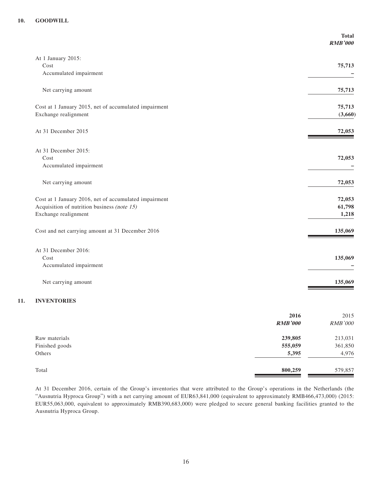|                                                       | <b>Total</b><br><b>RMB'000</b> |
|-------------------------------------------------------|--------------------------------|
| At 1 January 2015:                                    |                                |
| Cost                                                  | 75,713                         |
| Accumulated impairment                                |                                |
| Net carrying amount                                   | 75,713                         |
| Cost at 1 January 2015, net of accumulated impairment | 75,713                         |
| Exchange realignment                                  | (3,660)                        |
| At 31 December 2015                                   | 72,053                         |
| At 31 December 2015:                                  |                                |
| Cost<br>Accumulated impairment                        | 72,053                         |
|                                                       |                                |
| Net carrying amount                                   | 72,053                         |
| Cost at 1 January 2016, net of accumulated impairment | 72,053                         |
| Acquisition of nutrition business (note 15)           | 61,798                         |
| Exchange realignment                                  | 1,218                          |
| Cost and net carrying amount at 31 December 2016      | 135,069                        |
| At 31 December 2016:                                  |                                |
| Cost                                                  | 135,069                        |
| Accumulated impairment                                |                                |
| Net carrying amount                                   | 135,069                        |

#### **11. INVENTORIES**

|                | 2016<br><b>RMB'000</b> | 2015<br><b>RMB'000</b> |
|----------------|------------------------|------------------------|
| Raw materials  | 239,805                | 213,031                |
| Finished goods | 555,059                | 361,850                |
| Others         | 5,395                  | 4,976                  |
| Total          | 800,259                | 579,857                |

At 31 December 2016, certain of the Group's inventories that were attributed to the Group's operations in the Netherlands (the "Ausnutria Hyproca Group") with a net carrying amount of EUR63,841,000 (equivalent to approximately RMB466,473,000) (2015: EUR55,063,000, equivalent to approximately RMB390,683,000) were pledged to secure general banking facilities granted to the Ausnutria Hyproca Group.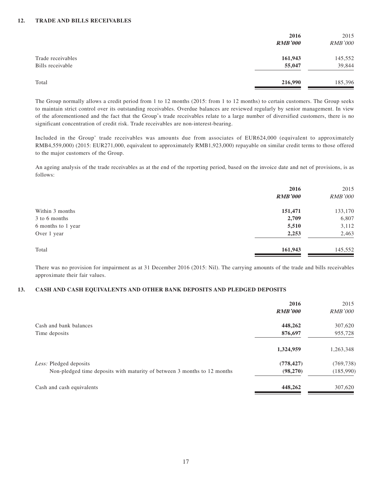|                                       | 2016<br><b>RMB'000</b> | 2015<br><b>RMB'000</b> |
|---------------------------------------|------------------------|------------------------|
| Trade receivables<br>Bills receivable | 161,943<br>55,047      | 145,552<br>39,844      |
| Total                                 | 216,990                | 185,396                |

The Group normally allows a credit period from 1 to 12 months (2015: from 1 to 12 months) to certain customers. The Group seeks to maintain strict control over its outstanding receivables. Overdue balances are reviewed regularly by senior management. In view of the aforementioned and the fact that the Group's trade receivables relate to a large number of diversified customers, there is no significant concentration of credit risk. Trade receivables are non-interest-bearing.

Included in the Group' trade receivables was amounts due from associates of EUR624,000 (equivalent to approximately RMB4,559,000) (2015: EUR271,000, equivalent to approximately RMB1,923,000) repayable on similar credit terms to those offered to the major customers of the Group.

An ageing analysis of the trade receivables as at the end of the reporting period, based on the invoice date and net of provisions, is as follows:

| 2016           | 2015           |
|----------------|----------------|
| <b>RMB'000</b> | <b>RMB'000</b> |
| 151,471        | 133,170        |
| 2,709          | 6,807          |
| 5,510          | 3,112          |
| 2,253          | 2,463          |
| 161,943        | 145,552        |
|                |                |

There was no provision for impairment as at 31 December 2016 (2015: Nil). The carrying amounts of the trade and bills receivables approximate their fair values.

#### **13. CASH AND CASH EQUIVALENTS AND OTHER BANK DEPOSITS AND PLEDGED DEPOSITS**

|                                                                          | 2016<br><b>RMB'000</b> | 2015<br><i>RMB'000</i> |
|--------------------------------------------------------------------------|------------------------|------------------------|
| Cash and bank balances                                                   | 448,262                | 307,620                |
| Time deposits                                                            | 876,697                | 955,728                |
|                                                                          | 1,324,959              | 1,263,348              |
| Less: Pledged deposits                                                   | (778, 427)             | (769, 738)             |
| Non-pledged time deposits with maturity of between 3 months to 12 months | (98,270)               | (185,990)              |
| Cash and cash equivalents                                                | 448,262                | 307,620                |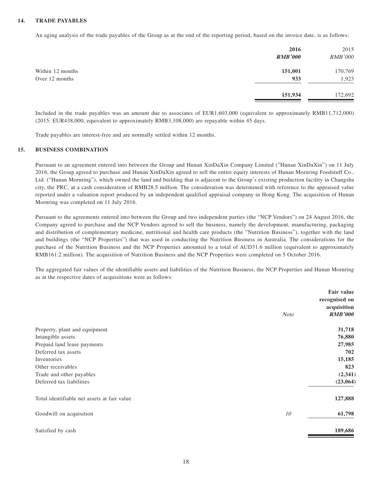#### **14. TRADE PAYABLES**

An aging analysis of the trade payables of the Group as at the end of the reporting period, based on the invoice date, is as follows:

|                                    | 2016<br><b>RMB'000</b> | 2015<br><b>RMB'000</b> |
|------------------------------------|------------------------|------------------------|
| Within 12 months<br>Over 12 months | 151,001<br>933         | 170,769<br>1,923       |
|                                    | 151,934                | 172,692                |

Included in the trade payables was an amount due to associates of EUR1,603,000 (equivalent to approximately RMB11,712,000) (2015: EUR438,000, equivalent to approximately RMB3,108,000) are repayable within 45 days.

Trade payables are interest-free and are normally settled within 12 months.

#### **15. BUSINESS COMBINATION**

Pursuant to an agreement entered into between the Group and Hunan XinDaXin Company Limited ("Hunan XinDaXin") on 11 July 2016, the Group agreed to purchase and Hunan XinDaXin agreed to sell the entire equity interests of Hunan Mornring Foodstuff Co., Ltd. ("Hunan Mornring"), which owned the land and building that is adjacent to the Group's existing production facility in Changsha city, the PRC, at a cash consideration of RMB28.5 million. The consideration was determined with reference to the appraised value reported under a valuation report produced by an independent qualified appraisal company in Hong Kong. The acquisition of Hunan Mornring was completed on 11 July 2016.

Pursuant to the agreements entered into between the Group and two independent parties (the "NCP Vendors") on 24 August 2016, the Company agreed to purchase and the NCP Vendors agreed to sell the business, namely the development, manufacturing, packaging and distribution of complementary medicine, nutritional and health care products (the "Nutrition Business"), together with the land and buildings (the "NCP Properties") that was used in conducting the Nutrition Business in Australia. The considerations for the purchase of the Nutrition Business and the NCP Properties amounted to a total of AUD31.6 million (equivalent to approximately RMB161.2 million). The acquisition of Nutrition Business and the NCP Properties were completed on 5 October 2016.

The aggregated fair values of the identifiable assets and liabilities of the Nutrition Business, the NCP Properties and Hunan Mornring as at the respective dates of acquisitions were as follows:

|                                             | <b>Note</b> | Fair value<br>recognised on<br>acquisition<br><b>RMB'000</b> |
|---------------------------------------------|-------------|--------------------------------------------------------------|
| Property, plant and equipment               |             | 31,718                                                       |
| Intangible assets                           |             | 76,880                                                       |
| Prepaid land lease payments                 |             | 27,985                                                       |
| Deferred tax assets                         |             | 702                                                          |
| Inventories                                 |             | 15,185                                                       |
| Other receivables                           |             | 823                                                          |
| Trade and other payables                    |             | (2, 341)                                                     |
| Deferred tax liabilities                    |             | (23,064)                                                     |
| Total identifiable net assets at fair value |             | 127,888                                                      |
| Goodwill on acquisition                     | 10          | 61,798                                                       |
| Satisfied by cash                           |             | 189,686                                                      |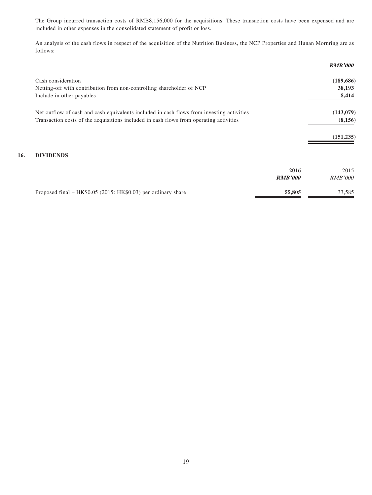The Group incurred transaction costs of RMB8,156,000 for the acquisitions. These transaction costs have been expensed and are included in other expenses in the consolidated statement of profit or loss.

An analysis of the cash flows in respect of the acquisition of the Nutrition Business, the NCP Properties and Hunan Mornring are as follows:

|                                                                                           |                | <b>RMB'000</b> |
|-------------------------------------------------------------------------------------------|----------------|----------------|
| Cash consideration                                                                        |                | (189, 686)     |
| Netting-off with contribution from non-controlling shareholder of NCP                     |                | 38,193         |
| Include in other payables                                                                 |                | 8,414          |
| Net outflow of cash and cash equivalents included in cash flows from investing activities |                | (143,079)      |
| Transaction costs of the acquisitions included in cash flows from operating activities    |                | (8,156)        |
|                                                                                           |                | (151, 235)     |
| <b>DIVIDENDS</b>                                                                          |                |                |
|                                                                                           | 2016           | 2015           |
|                                                                                           | <b>RMB'000</b> | <i>RMB'000</i> |

Proposed final – HK\$0.05 (2015: HK\$0.03) per ordinary share **55,805** 33,585

**16.**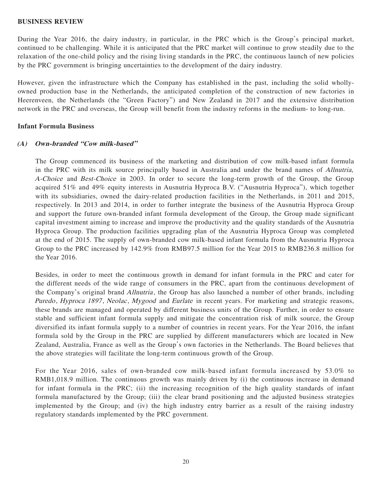#### **BUSINESS REVIEW**

During the Year 2016, the dairy industry, in particular, in the PRC which is the Group's principal market, continued to be challenging. While it is anticipated that the PRC market will continue to grow steadily due to the relaxation of the one-child policy and the rising living standards in the PRC, the continuous launch of new policies by the PRC government is bringing uncertainties to the development of the dairy industry.

However, given the infrastructure which the Company has established in the past, including the solid whollyowned production base in the Netherlands, the anticipated completion of the construction of new factories in Heerenveen, the Netherlands (the "Green Factory") and New Zealand in 2017 and the extensive distribution network in the PRC and overseas, the Group will benefit from the industry reforms in the medium- to long-run.

#### **Infant Formula Business**

#### **(A) Own-branded "Cow milk-based"**

The Group commenced its business of the marketing and distribution of cow milk-based infant formula in the PRC with its milk source principally based in Australia and under the brand names of Allnutria, A-Choice and Best-Choice in 2003. In order to secure the long-term growth of the Group, the Group acquired 51% and 49% equity interests in Ausnutria Hyproca B.V. ("Ausnutria Hyproca"), which together with its subsidiaries, owned the dairy-related production facilities in the Netherlands, in 2011 and 2015, respectively. In 2013 and 2014, in order to further integrate the business of the Ausnutria Hyproca Group and support the future own-branded infant formula development of the Group, the Group made significant capital investment aiming to increase and improve the productivity and the quality standards of the Ausnutria Hyproca Group. The production facilities upgrading plan of the Ausnutria Hyproca Group was completed at the end of 2015. The supply of own-branded cow milk-based infant formula from the Ausnutria Hyproca Group to the PRC increased by 142.9% from RMB97.5 million for the Year 2015 to RMB236.8 million for the Year 2016.

Besides, in order to meet the continuous growth in demand for infant formula in the PRC and cater for the different needs of the wide range of consumers in the PRC, apart from the continuous development of the Company's original brand *Allnutria*, the Group has also launched a number of other brands, including Puredo, Hyproca 1897, Neolac, Mygood and Eurlate in recent years. For marketing and strategic reasons, these brands are managed and operated by different business units of the Group. Further, in order to ensure stable and sufficient infant formula supply and mitigate the concentration risk of milk source, the Group diversified its infant formula supply to a number of countries in recent years. For the Year 2016, the infant formula sold by the Group in the PRC are supplied by different manufacturers which are located in New Zealand, Australia, France as well as the Group's own factories in the Netherlands. The Board believes that the above strategies will facilitate the long-term continuous growth of the Group.

For the Year 2016, sales of own-branded cow milk-based infant formula increased by 53.0% to RMB1,018.9 million. The continuous growth was mainly driven by (i) the continuous increase in demand for infant formula in the PRC; (ii) the increasing recognition of the high quality standards of infant formula manufactured by the Group; (iii) the clear brand positioning and the adjusted business strategies implemented by the Group; and (iv) the high industry entry barrier as a result of the raising industry regulatory standards implemented by the PRC government.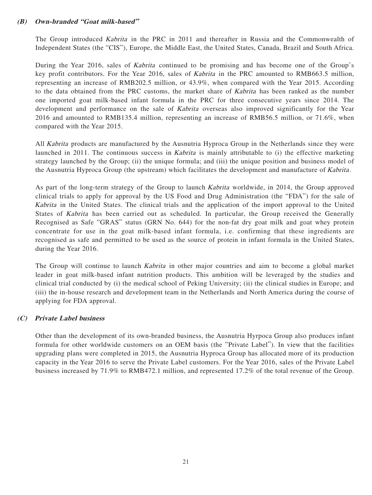### **(B) Own-branded "Goat milk-based"**

The Group introduced Kabrita in the PRC in 2011 and thereafter in Russia and the Commonwealth of Independent States (the "CIS"), Europe, the Middle East, the United States, Canada, Brazil and South Africa.

During the Year 2016, sales of Kabrita continued to be promising and has become one of the Group's key profit contributors. For the Year 2016, sales of Kabrita in the PRC amounted to RMB663.5 million, representing an increase of RMB202.5 million, or 43.9%, when compared with the Year 2015. According to the data obtained from the PRC customs, the market share of Kabrita has been ranked as the number one imported goat milk-based infant formula in the PRC for three consecutive years since 2014. The development and performance on the sale of *Kabrita* overseas also improved significantly for the Year 2016 and amounted to RMB135.4 million, representing an increase of RMB56.5 million, or 71.6%, when compared with the Year 2015.

All Kabrita products are manufactured by the Ausnutria Hyproca Group in the Netherlands since they were launched in 2011. The continuous success in *Kabrita* is mainly attributable to (i) the effective marketing strategy launched by the Group; (ii) the unique formula; and (iii) the unique position and business model of the Ausnutria Hyproca Group (the upstream) which facilitates the development and manufacture of Kabrita.

As part of the long-term strategy of the Group to launch Kabrita worldwide, in 2014, the Group approved clinical trials to apply for approval by the US Food and Drug Administration (the "FDA") for the sale of Kabrita in the United States. The clinical trials and the application of the import approval to the United States of Kabrita has been carried out as scheduled. In particular, the Group received the Generally Recognised as Safe "GRAS" status (GRN No. 644) for the non-fat dry goat milk and goat whey protein concentrate for use in the goat milk-based infant formula, i.e. confirming that these ingredients are recognised as safe and permitted to be used as the source of protein in infant formula in the United States, during the Year 2016.

The Group will continue to launch *Kabrita* in other major countries and aim to become a global market leader in goat milk-based infant nutrition products. This ambition will be leveraged by the studies and clinical trial conducted by (i) the medical school of Peking University; (ii) the clinical studies in Europe; and (iii) the in-house research and development team in the Netherlands and North America during the course of applying for FDA approval.

#### **(C) Private Label business**

Other than the development of its own-branded business, the Ausnutria Hyrpoca Group also produces infant formula for other worldwide customers on an OEM basis (the "Private Label"). In view that the facilities upgrading plans were completed in 2015, the Ausnutria Hyproca Group has allocated more of its production capacity in the Year 2016 to serve the Private Label customers. For the Year 2016, sales of the Private Label business increased by 71.9% to RMB472.1 million, and represented 17.2% of the total revenue of the Group.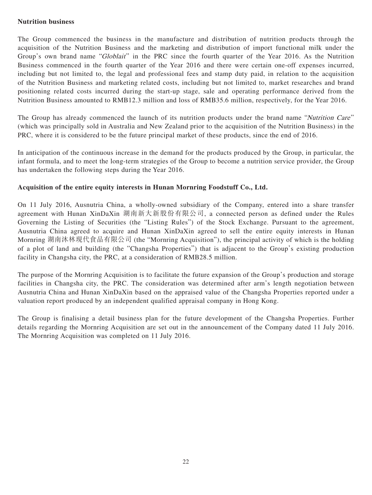#### **Nutrition business**

The Group commenced the business in the manufacture and distribution of nutrition products through the acquisition of the Nutrition Business and the marketing and distribution of import functional milk under the Group's own brand name "Globlait" in the PRC since the fourth quarter of the Year 2016. As the Nutrition Business commenced in the fourth quarter of the Year 2016 and there were certain one-off expenses incurred, including but not limited to, the legal and professional fees and stamp duty paid, in relation to the acquisition of the Nutrition Business and marketing related costs, including but not limited to, market researches and brand positioning related costs incurred during the start-up stage, sale and operating performance derived from the Nutrition Business amounted to RMB12.3 million and loss of RMB35.6 million, respectively, for the Year 2016.

The Group has already commenced the launch of its nutrition products under the brand name "Nutrition Care" (which was principally sold in Australia and New Zealand prior to the acquisition of the Nutrition Business) in the PRC, where it is considered to be the future principal market of these products, since the end of 2016.

In anticipation of the continuous increase in the demand for the products produced by the Group, in particular, the infant formula, and to meet the long-term strategies of the Group to become a nutrition service provider, the Group has undertaken the following steps during the Year 2016.

## **Acquisition of the entire equity interests in Hunan Mornring Foodstuff Co., Ltd.**

On 11 July 2016, Ausnutria China, a wholly-owned subsidiary of the Company, entered into a share transfer agreement with Hunan XinDaXin 湖南新大新股份有限公司, a connected person as defined under the Rules Governing the Listing of Securities (the "Listing Rules") of the Stock Exchange. Pursuant to the agreement, Ausnutria China agreed to acquire and Hunan XinDaXin agreed to sell the entire equity interests in Hunan Mornring 湖南沐林現代食品有限公司 (the "Mornring Acquisition"), the principal activity of which is the holding of a plot of land and building (the "Changsha Properties") that is adjacent to the Group's existing production facility in Changsha city, the PRC, at a consideration of RMB28.5 million.

The purpose of the Mornring Acquisition is to facilitate the future expansion of the Group's production and storage facilities in Changsha city, the PRC. The consideration was determined after arm's length negotiation between Ausnutria China and Hunan XinDaXin based on the appraised value of the Changsha Properties reported under a valuation report produced by an independent qualified appraisal company in Hong Kong.

The Group is finalising a detail business plan for the future development of the Changsha Properties. Further details regarding the Mornring Acquisition are set out in the announcement of the Company dated 11 July 2016. The Mornring Acquisition was completed on 11 July 2016.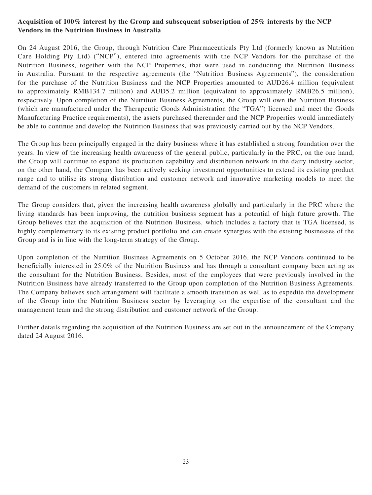## **Acquisition of 100% interest by the Group and subsequent subscription of 25% interests by the NCP Vendors in the Nutrition Business in Australia**

On 24 August 2016, the Group, through Nutrition Care Pharmaceuticals Pty Ltd (formerly known as Nutrition Care Holding Pty Ltd) ("NCP"), entered into agreements with the NCP Vendors for the purchase of the Nutrition Business, together with the NCP Properties, that were used in conducting the Nutrition Business in Australia. Pursuant to the respective agreements (the "Nutrition Business Agreements"), the consideration for the purchase of the Nutrition Business and the NCP Properties amounted to AUD26.4 million (equivalent to approximately RMB134.7 million) and AUD5.2 million (equivalent to approximately RMB26.5 million), respectively. Upon completion of the Nutrition Business Agreements, the Group will own the Nutrition Business (which are manufactured under the Therapeutic Goods Administration (the "TGA") licensed and meet the Goods Manufacturing Practice requirements), the assets purchased thereunder and the NCP Properties would immediately be able to continue and develop the Nutrition Business that was previously carried out by the NCP Vendors.

The Group has been principally engaged in the dairy business where it has established a strong foundation over the years. In view of the increasing health awareness of the general public, particularly in the PRC, on the one hand, the Group will continue to expand its production capability and distribution network in the dairy industry sector, on the other hand, the Company has been actively seeking investment opportunities to extend its existing product range and to utilise its strong distribution and customer network and innovative marketing models to meet the demand of the customers in related segment.

The Group considers that, given the increasing health awareness globally and particularly in the PRC where the living standards has been improving, the nutrition business segment has a potential of high future growth. The Group believes that the acquisition of the Nutrition Business, which includes a factory that is TGA licensed, is highly complementary to its existing product portfolio and can create synergies with the existing businesses of the Group and is in line with the long-term strategy of the Group.

Upon completion of the Nutrition Business Agreements on 5 October 2016, the NCP Vendors continued to be beneficially interested in 25.0% of the Nutrition Business and has through a consultant company been acting as the consultant for the Nutrition Business. Besides, most of the employees that were previously involved in the Nutrition Business have already transferred to the Group upon completion of the Nutrition Business Agreements. The Company believes such arrangement will facilitate a smooth transition as well as to expedite the development of the Group into the Nutrition Business sector by leveraging on the expertise of the consultant and the management team and the strong distribution and customer network of the Group.

Further details regarding the acquisition of the Nutrition Business are set out in the announcement of the Company dated 24 August 2016.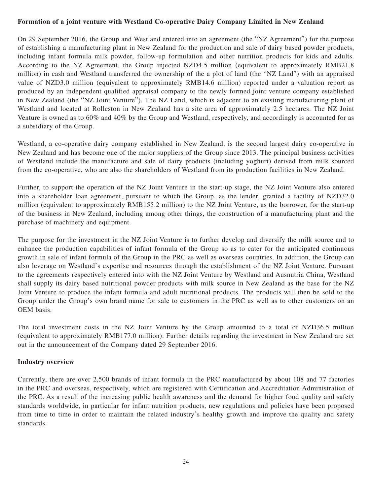## **Formation of a joint venture with Westland Co-operative Dairy Company Limited in New Zealand**

On 29 September 2016, the Group and Westland entered into an agreement (the "NZ Agreement") for the purpose of establishing a manufacturing plant in New Zealand for the production and sale of dairy based powder products, including infant formula milk powder, follow-up formulation and other nutrition products for kids and adults. According to the NZ Agreement, the Group injected NZD4.5 million (equivalent to approximately RMB21.8 million) in cash and Westland transferred the ownership of the a plot of land (the "NZ Land") with an appraised value of NZD3.0 million (equivalent to approximately RMB14.6 million) reported under a valuation report as produced by an independent qualified appraisal company to the newly formed joint venture company established in New Zealand (the "NZ Joint Venture"). The NZ Land, which is adjacent to an existing manufacturing plant of Westland and located at Rolleston in New Zealand has a site area of approximately 2.5 hectares. The NZ Joint Venture is owned as to 60% and 40% by the Group and Westland, respectively, and accordingly is accounted for as a subsidiary of the Group.

Westland, a co-operative dairy company established in New Zealand, is the second largest dairy co-operative in New Zealand and has become one of the major suppliers of the Group since 2013. The principal business activities of Westland include the manufacture and sale of dairy products (including yoghurt) derived from milk sourced from the co-operative, who are also the shareholders of Westland from its production facilities in New Zealand.

Further, to support the operation of the NZ Joint Venture in the start-up stage, the NZ Joint Venture also entered into a shareholder loan agreement, pursuant to which the Group, as the lender, granted a facility of NZD32.0 million (equivalent to approximately RMB155.2 million) to the NZ Joint Venture, as the borrower, for the start-up of the business in New Zealand, including among other things, the construction of a manufacturing plant and the purchase of machinery and equipment.

The purpose for the investment in the NZ Joint Venture is to further develop and diversify the milk source and to enhance the production capabilities of infant formula of the Group so as to cater for the anticipated continuous growth in sale of infant formula of the Group in the PRC as well as overseas countries. In addition, the Group can also leverage on Westland's expertise and resources through the establishment of the NZ Joint Venture. Pursuant to the agreements respectively entered into with the NZ Joint Venture by Westland and Ausnutria China, Westland shall supply its dairy based nutritional powder products with milk source in New Zealand as the base for the NZ Joint Venture to produce the infant formula and adult nutritional products. The products will then be sold to the Group under the Group's own brand name for sale to customers in the PRC as well as to other customers on an OEM basis.

The total investment costs in the NZ Joint Venture by the Group amounted to a total of NZD36.5 million (equivalent to approximately RMB177.0 million). Further details regarding the investment in New Zealand are set out in the announcement of the Company dated 29 September 2016.

#### **Industry overview**

Currently, there are over 2,500 brands of infant formula in the PRC manufactured by about 108 and 77 factories in the PRC and overseas, respectively, which are registered with Certification and Accreditation Administration of the PRC. As a result of the increasing public health awareness and the demand for higher food quality and safety standards worldwide, in particular for infant nutrition products, new regulations and policies have been proposed from time to time in order to maintain the related industry's healthy growth and improve the quality and safety standards.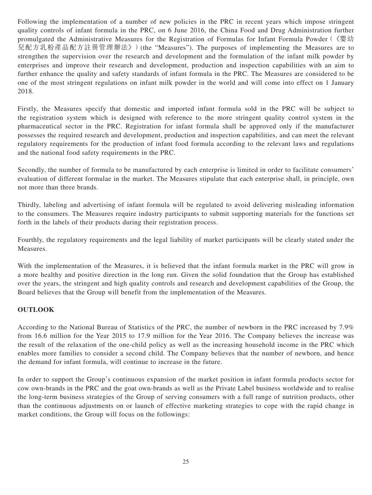Following the implementation of a number of new policies in the PRC in recent years which impose stringent quality controls of infant formula in the PRC, on 6 June 2016, the China Food and Drug Administration further promulgated the Administrative Measures for the Registration of Formulas for Infant Formula Powder(《嬰幼 兒配方乳粉產品配方註冊管理辦法》)(the "Measures"). The purposes of implementing the Measures are to strengthen the supervision over the research and development and the formulation of the infant milk powder by enterprises and improve their research and development, production and inspection capabilities with an aim to further enhance the quality and safety standards of infant formula in the PRC. The Measures are considered to be one of the most stringent regulations on infant milk powder in the world and will come into effect on 1 January 2018.

Firstly, the Measures specify that domestic and imported infant formula sold in the PRC will be subject to the registration system which is designed with reference to the more stringent quality control system in the pharmaceutical sector in the PRC. Registration for infant formula shall be approved only if the manufacturer possesses the required research and development, production and inspection capabilities, and can meet the relevant regulatory requirements for the production of infant food formula according to the relevant laws and regulations and the national food safety requirements in the PRC.

Secondly, the number of formula to be manufactured by each enterprise is limited in order to facilitate consumers' evaluation of different formulae in the market. The Measures stipulate that each enterprise shall, in principle, own not more than three brands.

Thirdly, labeling and advertising of infant formula will be regulated to avoid delivering misleading information to the consumers. The Measures require industry participants to submit supporting materials for the functions set forth in the labels of their products during their registration process.

Fourthly, the regulatory requirements and the legal liability of market participants will be clearly stated under the Measures.

With the implementation of the Measures, it is believed that the infant formula market in the PRC will grow in a more healthy and positive direction in the long run. Given the solid foundation that the Group has established over the years, the stringent and high quality controls and research and development capabilities of the Group, the Board believes that the Group will benefit from the implementation of the Measures.

## **OUTLOOK**

According to the National Bureau of Statistics of the PRC, the number of newborn in the PRC increased by 7.9% from 16.6 million for the Year 2015 to 17.9 million for the Year 2016. The Company believes the increase was the result of the relaxation of the one-child policy as well as the increasing household income in the PRC which enables more families to consider a second child. The Company believes that the number of newborn, and hence the demand for infant formula, will continue to increase in the future.

In order to support the Group's continuous expansion of the market position in infant formula products sector for cow own-brands in the PRC and the goat own-brands as well as the Private Label business worldwide and to realise the long-term business strategies of the Group of serving consumers with a full range of nutrition products, other than the continuous adjustments on or launch of effective marketing strategies to cope with the rapid change in market conditions, the Group will focus on the followings: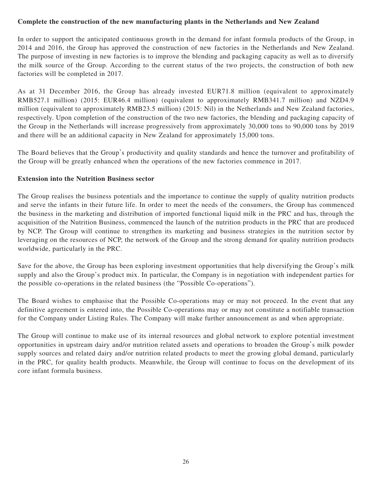## **Complete the construction of the new manufacturing plants in the Netherlands and New Zealand**

In order to support the anticipated continuous growth in the demand for infant formula products of the Group, in 2014 and 2016, the Group has approved the construction of new factories in the Netherlands and New Zealand. The purpose of investing in new factories is to improve the blending and packaging capacity as well as to diversify the milk source of the Group. According to the current status of the two projects, the construction of both new factories will be completed in 2017.

As at 31 December 2016, the Group has already invested EUR71.8 million (equivalent to approximately RMB527.1 million) (2015: EUR46.4 million) (equivalent to approximately RMB341.7 million) and NZD4.9 million (equivalent to approximately RMB23.5 million) (2015: Nil) in the Netherlands and New Zealand factories, respectively. Upon completion of the construction of the two new factories, the blending and packaging capacity of the Group in the Netherlands will increase progressively from approximately 30,000 tons to 90,000 tons by 2019 and there will be an additional capacity in New Zealand for approximately 15,000 tons.

The Board believes that the Group's productivity and quality standards and hence the turnover and profitability of the Group will be greatly enhanced when the operations of the new factories commence in 2017.

#### **Extension into the Nutrition Business sector**

The Group realises the business potentials and the importance to continue the supply of quality nutrition products and serve the infants in their future life. In order to meet the needs of the consumers, the Group has commenced the business in the marketing and distribution of imported functional liquid milk in the PRC and has, through the acquisition of the Nutrition Business, commenced the launch of the nutrition products in the PRC that are produced by NCP. The Group will continue to strengthen its marketing and business strategies in the nutrition sector by leveraging on the resources of NCP, the network of the Group and the strong demand for quality nutrition products worldwide, particularly in the PRC.

Save for the above, the Group has been exploring investment opportunities that help diversifying the Group's milk supply and also the Group's product mix. In particular, the Company is in negotiation with independent parties for the possible co-operations in the related business (the "Possible Co-operations").

The Board wishes to emphasise that the Possible Co-operations may or may not proceed. In the event that any definitive agreement is entered into, the Possible Co-operations may or may not constitute a notifiable transaction for the Company under Listing Rules. The Company will make further announcement as and when appropriate.

The Group will continue to make use of its internal resources and global network to explore potential investment opportunities in upstream dairy and/or nutrition related assets and operations to broaden the Group's milk powder supply sources and related dairy and/or nutrition related products to meet the growing global demand, particularly in the PRC, for quality health products. Meanwhile, the Group will continue to focus on the development of its core infant formula business.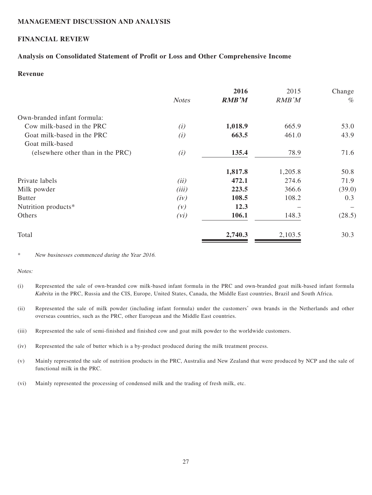#### **MANAGEMENT DISCUSSION AND ANALYSIS**

## **FINANCIAL REVIEW**

#### **Analysis on Consolidated Statement of Profit or Loss and Other Comprehensive Income**

## **Revenue**

|                                   | <b>Notes</b> | 2016<br><b>RMB'M</b> | 2015<br>RMB'M | Change<br>$\%$ |
|-----------------------------------|--------------|----------------------|---------------|----------------|
| Own-branded infant formula:       |              |                      |               |                |
| Cow milk-based in the PRC         | (i)          | 1,018.9              | 665.9         | 53.0           |
| Goat milk-based in the PRC        | (i)          | 663.5                | 461.0         | 43.9           |
| Goat milk-based                   |              |                      |               |                |
| (elsewhere other than in the PRC) | (i)          | 135.4                | 78.9          | 71.6           |
|                                   |              | 1,817.8              | 1,205.8       | 50.8           |
| Private labels                    | (ii)         | 472.1                | 274.6         | 71.9           |
| Milk powder                       | (iii)        | 223.5                | 366.6         | (39.0)         |
| <b>Butter</b>                     | (iv)         | 108.5                | 108.2         | 0.3            |
| Nutrition products*               | (V)          | 12.3                 |               |                |
| Others                            | (vi)         | 106.1                | 148.3         | (28.5)         |
| Total                             |              | 2,740.3              | 2,103.5       | 30.3           |

\* New businesses commenced during the Year 2016.

#### Notes:

(i) Represented the sale of own-branded cow milk-based infant formula in the PRC and own-branded goat milk-based infant formula Kabrita in the PRC, Russia and the CIS, Europe, United States, Canada, the Middle East countries, Brazil and South Africa.

(ii) Represented the sale of milk powder (including infant formula) under the customers' own brands in the Netherlands and other overseas countries, such as the PRC, other European and the Middle East countries.

(iii) Represented the sale of semi-finished and finished cow and goat milk powder to the worldwide customers.

(iv) Represented the sale of butter which is a by-product produced during the milk treatment process.

(v) Mainly represented the sale of nutrition products in the PRC, Australia and New Zealand that were produced by NCP and the sale of functional milk in the PRC.

(vi) Mainly represented the processing of condensed milk and the trading of fresh milk, etc.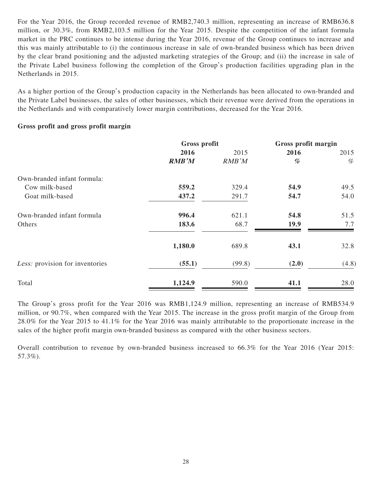For the Year 2016, the Group recorded revenue of RMB2,740.3 million, representing an increase of RMB636.8 million, or 30.3%, from RMB2,103.5 million for the Year 2015. Despite the competition of the infant formula market in the PRC continues to be intense during the Year 2016, revenue of the Group continues to increase and this was mainly attributable to (i) the continuous increase in sale of own-branded business which has been driven by the clear brand positioning and the adjusted marketing strategies of the Group; and (ii) the increase in sale of the Private Label business following the completion of the Group's production facilities upgrading plan in the Netherlands in 2015.

As a higher portion of the Group's production capacity in the Netherlands has been allocated to own-branded and the Private Label businesses, the sales of other businesses, which their revenue were derived from the operations in the Netherlands and with comparatively lower margin contributions, decreased for the Year 2016.

### **Gross profit and gross profit margin**

|                                 | Gross profit |        | Gross profit margin |       |
|---------------------------------|--------------|--------|---------------------|-------|
|                                 | 2016         | 2015   | 2016                | 2015  |
|                                 | <b>RMB'M</b> | RMB'M  | %                   | %     |
| Own-branded infant formula:     |              |        |                     |       |
| Cow milk-based                  | 559.2        | 329.4  | 54.9                | 49.5  |
| Goat milk-based                 | 437.2        | 291.7  | 54.7                | 54.0  |
| Own-branded infant formula      | 996.4        | 621.1  | 54.8                | 51.5  |
| Others                          | 183.6        | 68.7   | 19.9                | 7.7   |
|                                 | 1,180.0      | 689.8  | 43.1                | 32.8  |
| Less: provision for inventories | (55.1)       | (99.8) | (2.0)               | (4.8) |
| Total                           | 1,124.9      | 590.0  | 41.1                | 28.0  |

The Group's gross profit for the Year 2016 was RMB1,124.9 million, representing an increase of RMB534.9 million, or 90.7%, when compared with the Year 2015. The increase in the gross profit margin of the Group from 28.0% for the Year 2015 to 41.1% for the Year 2016 was mainly attributable to the proportionate increase in the sales of the higher profit margin own-branded business as compared with the other business sectors.

Overall contribution to revenue by own-branded business increased to 66.3% for the Year 2016 (Year 2015: 57.3%).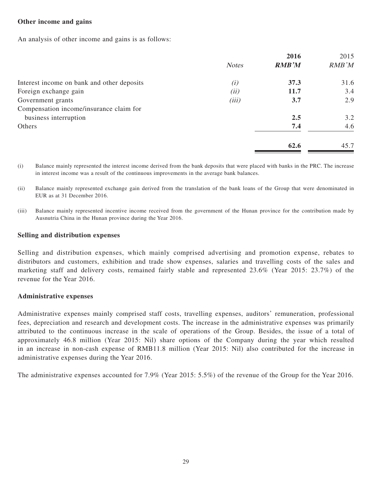#### **Other income and gains**

An analysis of other income and gains is as follows:

|                                            |              | 2016         | 2015  |
|--------------------------------------------|--------------|--------------|-------|
|                                            | <b>Notes</b> | <b>RMB'M</b> | RMB'M |
| Interest income on bank and other deposits | (i)          | 37.3         | 31.6  |
| Foreign exchange gain                      | (ii)         | <b>11.7</b>  | 3.4   |
| Government grants                          | (iii)        | 3.7          | 2.9   |
| Compensation income/insurance claim for    |              |              |       |
| business interruption                      |              | 2.5          | 3.2   |
| Others                                     |              | 7.4          | 4.6   |
|                                            |              | 62.6         | 45.7  |

(i) Balance mainly represented the interest income derived from the bank deposits that were placed with banks in the PRC. The increase in interest income was a result of the continuous improvements in the average bank balances.

(ii) Balance mainly represented exchange gain derived from the translation of the bank loans of the Group that were denominated in EUR as at 31 December 2016.

(iii) Balance mainly represented incentive income received from the government of the Hunan province for the contribution made by Ausnutria China in the Hunan province during the Year 2016.

#### **Selling and distribution expenses**

Selling and distribution expenses, which mainly comprised advertising and promotion expense, rebates to distributors and customers, exhibition and trade show expenses, salaries and travelling costs of the sales and marketing staff and delivery costs, remained fairly stable and represented 23.6% (Year 2015: 23.7%) of the revenue for the Year 2016.

#### **Administrative expenses**

Administrative expenses mainly comprised staff costs, travelling expenses, auditors' remuneration, professional fees, depreciation and research and development costs. The increase in the administrative expenses was primarily attributed to the continuous increase in the scale of operations of the Group. Besides, the issue of a total of approximately 46.8 million (Year 2015: Nil) share options of the Company during the year which resulted in an increase in non-cash expense of RMB11.8 million (Year 2015: Nil) also contributed for the increase in administrative expenses during the Year 2016.

The administrative expenses accounted for 7.9% (Year 2015: 5.5%) of the revenue of the Group for the Year 2016.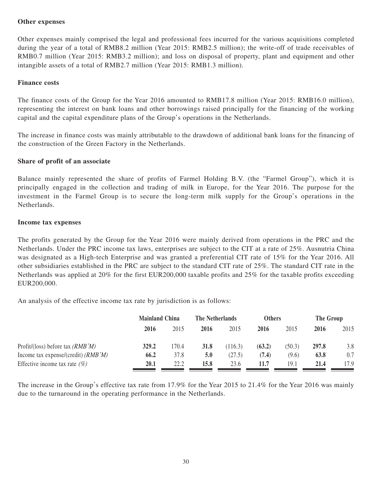#### **Other expenses**

Other expenses mainly comprised the legal and professional fees incurred for the various acquisitions completed during the year of a total of RMB8.2 million (Year 2015: RMB2.5 million); the write-off of trade receivables of RMB0.7 million (Year 2015: RMB3.2 million); and loss on disposal of property, plant and equipment and other intangible assets of a total of RMB2.7 million (Year 2015: RMB1.3 million).

#### **Finance costs**

The finance costs of the Group for the Year 2016 amounted to RMB17.8 million (Year 2015: RMB16.0 million), representing the interest on bank loans and other borrowings raised principally for the financing of the working capital and the capital expenditure plans of the Group's operations in the Netherlands.

The increase in finance costs was mainly attributable to the drawdown of additional bank loans for the financing of the construction of the Green Factory in the Netherlands.

#### **Share of profit of an associate**

Balance mainly represented the share of profits of Farmel Holding B.V. (the "Farmel Group"), which it is principally engaged in the collection and trading of milk in Europe, for the Year 2016. The purpose for the investment in the Farmel Group is to secure the long-term milk supply for the Group's operations in the Netherlands.

#### **Income tax expenses**

The profits generated by the Group for the Year 2016 were mainly derived from operations in the PRC and the Netherlands. Under the PRC income tax laws, enterprises are subject to the CIT at a rate of 25%. Ausnutria China was designated as a High-tech Enterprise and was granted a preferential CIT rate of 15% for the Year 2016. All other subsidiaries established in the PRC are subject to the standard CIT rate of 25%. The standard CIT rate in the Netherlands was applied at 20% for the first EUR200,000 taxable profits and 25% for the taxable profits exceeding EUR200,000.

An analysis of the effective income tax rate by jurisdiction is as follows:

|                                       |       | <b>Mainland China</b> |      | The Netherlands |        | <b>Others</b> |       | The Group |  |
|---------------------------------------|-------|-----------------------|------|-----------------|--------|---------------|-------|-----------|--|
|                                       | 2016  | 2015                  | 2016 | 2015            | 2016   | 2015          | 2016  | 2015      |  |
| Profit/(loss) before tax $(RMB'M)$    | 329.2 | 170.4                 | 31.8 | (116.3)         | (63.2) | (50.3)        | 297.8 | 3.8       |  |
| Income tax expense/(credit) $(RMB'M)$ | 66.2  | 37.8                  | 5.0  | (27.5)          | (7.4)  | (9.6)         | 63.8  | 0.7       |  |
| Effective income tax rate $(\%)$      | 20.1  | 22.2                  | 15.8 | 23.6            | 11.7   | 19.1          | 21.4  | 17.9      |  |

The increase in the Group's effective tax rate from 17.9% for the Year 2015 to 21.4% for the Year 2016 was mainly due to the turnaround in the operating performance in the Netherlands.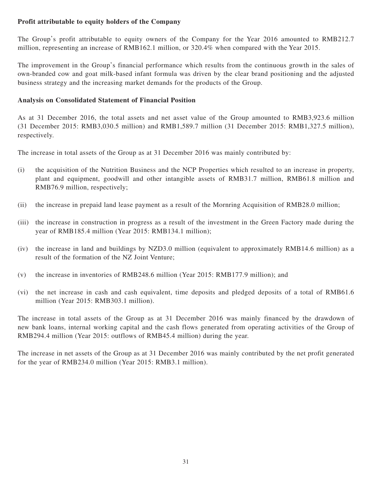## **Profit attributable to equity holders of the Company**

The Group's profit attributable to equity owners of the Company for the Year 2016 amounted to RMB212.7 million, representing an increase of RMB162.1 million, or 320.4% when compared with the Year 2015.

The improvement in the Group's financial performance which results from the continuous growth in the sales of own-branded cow and goat milk-based infant formula was driven by the clear brand positioning and the adjusted business strategy and the increasing market demands for the products of the Group.

#### **Analysis on Consolidated Statement of Financial Position**

As at 31 December 2016, the total assets and net asset value of the Group amounted to RMB3,923.6 million (31 December 2015: RMB3,030.5 million) and RMB1,589.7 million (31 December 2015: RMB1,327.5 million), respectively.

The increase in total assets of the Group as at 31 December 2016 was mainly contributed by:

- (i) the acquisition of the Nutrition Business and the NCP Properties which resulted to an increase in property, plant and equipment, goodwill and other intangible assets of RMB31.7 million, RMB61.8 million and RMB76.9 million, respectively;
- (ii) the increase in prepaid land lease payment as a result of the Mornring Acquisition of RMB28.0 million;
- (iii) the increase in construction in progress as a result of the investment in the Green Factory made during the year of RMB185.4 million (Year 2015: RMB134.1 million);
- (iv) the increase in land and buildings by NZD3.0 million (equivalent to approximately RMB14.6 million) as a result of the formation of the NZ Joint Venture;
- (v) the increase in inventories of RMB248.6 million (Year 2015: RMB177.9 million); and
- (vi) the net increase in cash and cash equivalent, time deposits and pledged deposits of a total of RMB61.6 million (Year 2015: RMB303.1 million).

The increase in total assets of the Group as at 31 December 2016 was mainly financed by the drawdown of new bank loans, internal working capital and the cash flows generated from operating activities of the Group of RMB294.4 million (Year 2015: outflows of RMB45.4 million) during the year.

The increase in net assets of the Group as at 31 December 2016 was mainly contributed by the net profit generated for the year of RMB234.0 million (Year 2015: RMB3.1 million).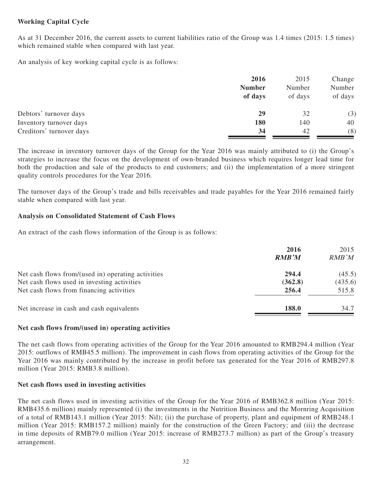## **Working Capital Cycle**

As at 31 December 2016, the current assets to current liabilities ratio of the Group was 1.4 times (2015: 1.5 times) which remained stable when compared with last year.

An analysis of key working capital cycle is as follows:

|                          | 2016          | 2015    | Change  |
|--------------------------|---------------|---------|---------|
|                          | <b>Number</b> | Number  | Number  |
|                          | of days       | of days | of days |
| Debtors' turnover days   | 29            | 32      | (3)     |
| Inventory turnover days  | 180           | 140     | 40      |
| Creditors' turnover days | 34            | 42      | (8)     |

The increase in inventory turnover days of the Group for the Year 2016 was mainly attributed to (i) the Group's strategies to increase the focus on the development of own-branded business which requires longer lead time for both the production and sale of the products to end customers; and (ii) the implementation of a more stringent quality controls procedures for the Year 2016.

The turnover days of the Group's trade and bills receivables and trade payables for the Year 2016 remained fairly stable when compared with last year.

### **Analysis on Consolidated Statement of Cash Flows**

An extract of the cash flows information of the Group is as follows:

|                                                    | 2016         | 2015    |
|----------------------------------------------------|--------------|---------|
|                                                    | <b>RMB'M</b> | RMB'M   |
| Net cash flows from/(used in) operating activities | 294.4        | (45.5)  |
| Net cash flows used in investing activities        | (362.8)      | (435.6) |
| Net cash flows from financing activities           | 256.4        | 515.8   |
| Net increase in cash and cash equivalents          | 188.0        | 34.7    |
|                                                    |              |         |

#### **Net cash flows from/(used in) operating activities**

The net cash flows from operating activities of the Group for the Year 2016 amounted to RMB294.4 million (Year 2015: outflows of RMB45.5 million). The improvement in cash flows from operating activities of the Group for the Year 2016 was mainly contributed by the increase in profit before tax generated for the Year 2016 of RMB297.8 million (Year 2015: RMB3.8 million).

#### **Net cash flows used in investing activities**

The net cash flows used in investing activities of the Group for the Year 2016 of RMB362.8 million (Year 2015: RMB435.6 million) mainly represented (i) the investments in the Nutrition Business and the Mornring Acquisition of a total of RMB143.1 million (Year 2015: Nil); (ii) the purchase of property, plant and equipment of RMB248.1 million (Year 2015: RMB157.2 million) mainly for the construction of the Green Factory; and (iii) the decrease in time deposits of RMB79.0 million (Year 2015: increase of RMB273.7 million) as part of the Group's treasury arrangement.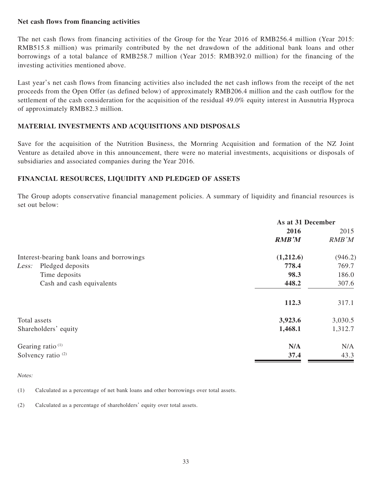#### **Net cash flows from financing activities**

The net cash flows from financing activities of the Group for the Year 2016 of RMB256.4 million (Year 2015: RMB515.8 million) was primarily contributed by the net drawdown of the additional bank loans and other borrowings of a total balance of RMB258.7 million (Year 2015: RMB392.0 million) for the financing of the investing activities mentioned above.

Last year's net cash flows from financing activities also included the net cash inflows from the receipt of the net proceeds from the Open Offer (as defined below) of approximately RMB206.4 million and the cash outflow for the settlement of the cash consideration for the acquisition of the residual 49.0% equity interest in Ausnutria Hyproca of approximately RMB82.3 million.

## **MATERIAL INVESTMENTS AND ACQUISITIONS AND DISPOSALS**

Save for the acquisition of the Nutrition Business, the Mornring Acquisition and formation of the NZ Joint Venture as detailed above in this announcement, there were no material investments, acquisitions or disposals of subsidiaries and associated companies during the Year 2016.

## **FINANCIAL RESOURCES, LIQUIDITY AND PLEDGED OF ASSETS**

The Group adopts conservative financial management policies. A summary of liquidity and financial resources is set out below:

|              |                                            | As at 31 December |         |
|--------------|--------------------------------------------|-------------------|---------|
|              |                                            | 2016              | 2015    |
|              |                                            | <b>RMB'M</b>      | RMB'M   |
|              | Interest-bearing bank loans and borrowings | (1,212.6)         | (946.2) |
| Less:        | Pledged deposits                           | 778.4             | 769.7   |
|              | Time deposits                              | 98.3              | 186.0   |
|              | Cash and cash equivalents                  | 448.2             | 307.6   |
|              |                                            | 112.3             | 317.1   |
| Total assets |                                            | 3,923.6           | 3,030.5 |
|              | Shareholders' equity                       | 1,468.1           | 1,312.7 |
|              | Gearing ratio $(1)$                        | N/A               | N/A     |
|              | Solvency ratio <sup>(2)</sup>              | 37.4              | 43.3    |

Notes:

(1) Calculated as a percentage of net bank loans and other borrowings over total assets.

(2) Calculated as a percentage of shareholders' equity over total assets.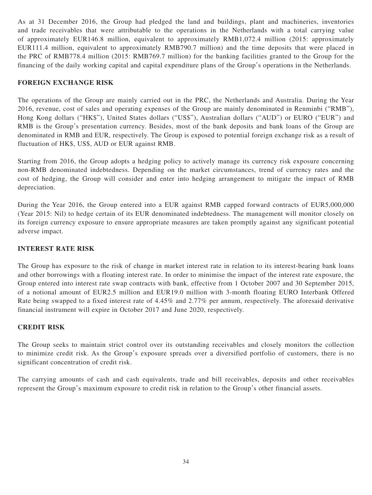As at 31 December 2016, the Group had pledged the land and buildings, plant and machineries, inventories and trade receivables that were attributable to the operations in the Netherlands with a total carrying value of approximately EUR146.8 million, equivalent to approximately RMB1,072.4 million (2015: approximately EUR111.4 million, equivalent to approximately RMB790.7 million) and the time deposits that were placed in the PRC of RMB778.4 million (2015: RMB769.7 million) for the banking facilities granted to the Group for the financing of the daily working capital and capital expenditure plans of the Group's operations in the Netherlands.

## **FOREIGN EXCHANGE RISK**

The operations of the Group are mainly carried out in the PRC, the Netherlands and Australia. During the Year 2016, revenue, cost of sales and operating expenses of the Group are mainly denominated in Renminbi ("RMB"), Hong Kong dollars ("HK\$"), United States dollars ("US\$"), Australian dollars ("AUD") or EURO ("EUR") and RMB is the Group's presentation currency. Besides, most of the bank deposits and bank loans of the Group are denominated in RMB and EUR, respectively. The Group is exposed to potential foreign exchange risk as a result of fluctuation of HK\$, US\$, AUD or EUR against RMB.

Starting from 2016, the Group adopts a hedging policy to actively manage its currency risk exposure concerning non-RMB denominated indebtedness. Depending on the market circumstances, trend of currency rates and the cost of hedging, the Group will consider and enter into hedging arrangement to mitigate the impact of RMB depreciation.

During the Year 2016, the Group entered into a EUR against RMB capped forward contracts of EUR5,000,000 (Year 2015: Nil) to hedge certain of its EUR denominated indebtedness. The management will monitor closely on its foreign currency exposure to ensure appropriate measures are taken promptly against any significant potential adverse impact.

#### **INTEREST RATE RISK**

The Group has exposure to the risk of change in market interest rate in relation to its interest-bearing bank loans and other borrowings with a floating interest rate. In order to minimise the impact of the interest rate exposure, the Group entered into interest rate swap contracts with bank, effective from 1 October 2007 and 30 September 2015, of a notional amount of EUR2.5 million and EUR19.0 million with 3-month floating EURO Interbank Offered Rate being swapped to a fixed interest rate of 4.45% and 2.77% per annum, respectively. The aforesaid derivative financial instrument will expire in October 2017 and June 2020, respectively.

#### **CREDIT RISK**

The Group seeks to maintain strict control over its outstanding receivables and closely monitors the collection to minimize credit risk. As the Group's exposure spreads over a diversified portfolio of customers, there is no significant concentration of credit risk.

The carrying amounts of cash and cash equivalents, trade and bill receivables, deposits and other receivables represent the Group's maximum exposure to credit risk in relation to the Group's other financial assets.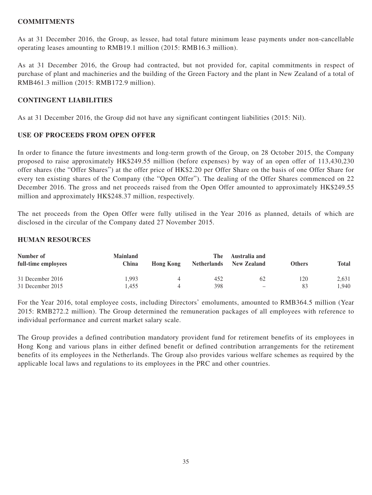#### **COMMITMENTS**

As at 31 December 2016, the Group, as lessee, had total future minimum lease payments under non-cancellable operating leases amounting to RMB19.1 million (2015: RMB16.3 million).

As at 31 December 2016, the Group had contracted, but not provided for, capital commitments in respect of purchase of plant and machineries and the building of the Green Factory and the plant in New Zealand of a total of RMB461.3 million (2015: RMB172.9 million).

### **CONTINGENT LIABILITIES**

As at 31 December 2016, the Group did not have any significant contingent liabilities (2015: Nil).

#### **USE OF PROCEEDS FROM OPEN OFFER**

In order to finance the future investments and long-term growth of the Group, on 28 October 2015, the Company proposed to raise approximately HK\$249.55 million (before expenses) by way of an open offer of 113,430,230 offer shares (the "Offer Shares") at the offer price of HK\$2.20 per Offer Share on the basis of one Offer Share for every ten existing shares of the Company (the "Open Offer"). The dealing of the Offer Shares commenced on 22 December 2016. The gross and net proceeds raised from the Open Offer amounted to approximately HK\$249.55 million and approximately HK\$248.37 million, respectively.

The net proceeds from the Open Offer were fully utilised in the Year 2016 as planned, details of which are disclosed in the circular of the Company dated 27 November 2015.

### **HUMAN RESOURCES**

| Number of<br>full-time employees | <b>Mainland</b><br>China | <b>Hong Kong</b> | The<br><b>Netherlands</b> | Australia and<br>New Zealand | <b>Others</b> | <b>Total</b> |
|----------------------------------|--------------------------|------------------|---------------------------|------------------------------|---------------|--------------|
| 31 December 2016                 | 1.993                    |                  | 452                       | 62                           | 120           | 2,631        |
| 31 December 2015                 | l.455                    |                  | 398                       | -                            | 83            | 1,940        |

For the Year 2016, total employee costs, including Directors' emoluments, amounted to RMB364.5 million (Year 2015: RMB272.2 million). The Group determined the remuneration packages of all employees with reference to individual performance and current market salary scale.

The Group provides a defined contribution mandatory provident fund for retirement benefits of its employees in Hong Kong and various plans in either defined benefit or defined contribution arrangements for the retirement benefits of its employees in the Netherlands. The Group also provides various welfare schemes as required by the applicable local laws and regulations to its employees in the PRC and other countries.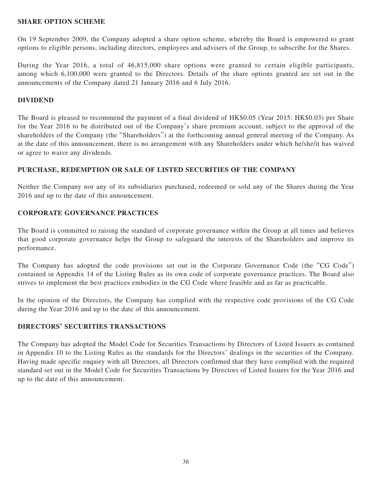#### **SHARE OPTION SCHEME**

On 19 September 2009, the Company adopted a share option scheme, whereby the Board is empowered to grant options to eligible persons, including directors, employees and advisers of the Group, to subscribe for the Shares.

During the Year 2016, a total of 46,815,000 share options were granted to certain eligible participants, among which 6,100,000 were granted to the Directors. Details of the share options granted are set out in the announcements of the Company dated 21 January 2016 and 6 July 2016.

### **DIVIDEND**

The Board is pleased to recommend the payment of a final dividend of HK\$0.05 (Year 2015: HK\$0.03) per Share for the Year 2016 to be distributed out of the Company's share premium account, subject to the approval of the shareholders of the Company (the "Shareholders") at the forthcoming annual general meeting of the Company. As at the date of this announcement, there is no arrangement with any Shareholders under which he/she/it has waived or agree to waive any dividends.

### **PURCHASE, REDEMPTION OR SALE OF LISTED SECURITIES OF THE COMPANY**

Neither the Company nor any of its subsidiaries purchased, redeemed or sold any of the Shares during the Year 2016 and up to the date of this announcement.

### **CORPORATE GOVERNANCE PRACTICES**

The Board is committed to raising the standard of corporate governance within the Group at all times and believes that good corporate governance helps the Group to safeguard the interests of the Shareholders and improve its performance.

The Company has adopted the code provisions set out in the Corporate Governance Code (the "CG Code") contained in Appendix 14 of the Listing Rules as its own code of corporate governance practices. The Board also strives to implement the best practices embodies in the CG Code where feasible and as far as practicable.

In the opinion of the Directors, the Company has complied with the respective code provisions of the CG Code during the Year 2016 and up to the date of this announcement.

## **DIRECTORS' SECURITIES TRANSACTIONS**

The Company has adopted the Model Code for Securities Transactions by Directors of Listed Issuers as contained in Appendix 10 to the Listing Rules as the standards for the Directors' dealings in the securities of the Company. Having made specific enquiry with all Directors, all Directors confirmed that they have complied with the required standard set out in the Model Code for Securities Transactions by Directors of Listed Issuers for the Year 2016 and up to the date of this announcement.